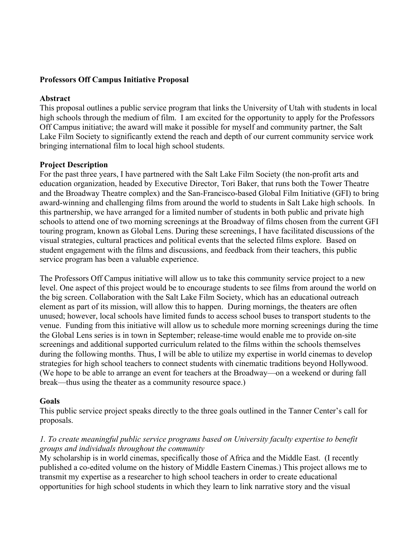#### **Professors Off Campus Initiative Proposal**

#### **Abstract**

This proposal outlines a public service program that links the University of Utah with students in local high schools through the medium of film. I am excited for the opportunity to apply for the Professors Off Campus initiative; the award will make it possible for myself and community partner, the Salt Lake Film Society to significantly extend the reach and depth of our current community service work bringing international film to local high school students.

#### **Project Description**

For the past three years, I have partnered with the Salt Lake Film Society (the non-profit arts and education organization, headed by Executive Director, Tori Baker, that runs both the Tower Theatre and the Broadway Theatre complex) and the San-Francisco-based Global Film Initiative (GFI) to bring award-winning and challenging films from around the world to students in Salt Lake high schools. In this partnership, we have arranged for a limited number of students in both public and private high schools to attend one of two morning screenings at the Broadway of films chosen from the current GFI touring program, known as Global Lens. During these screenings, I have facilitated discussions of the visual strategies, cultural practices and political events that the selected films explore. Based on student engagement with the films and discussions, and feedback from their teachers, this public service program has been a valuable experience.

The Professors Off Campus initiative will allow us to take this community service project to a new level. One aspect of this project would be to encourage students to see films from around the world on the big screen. Collaboration with the Salt Lake Film Society, which has an educational outreach element as part of its mission, will allow this to happen. During mornings, the theaters are often unused; however, local schools have limited funds to access school buses to transport students to the venue. Funding from this initiative will allow us to schedule more morning screenings during the time the Global Lens series is in town in September; release-time would enable me to provide on-site screenings and additional supported curriculum related to the films within the schools themselves during the following months. Thus, I will be able to utilize my expertise in world cinemas to develop strategies for high school teachers to connect students with cinematic traditions beyond Hollywood. (We hope to be able to arrange an event for teachers at the Broadway—on a weekend or during fall break—thus using the theater as a community resource space.)

#### **Goals**

This public service project speaks directly to the three goals outlined in the Tanner Center's call for proposals.

### *1. To create meaningful public service programs based on University faculty expertise to benefit groups and individuals throughout the community*

My scholarship is in world cinemas, specifically those of Africa and the Middle East. (I recently published a co-edited volume on the history of Middle Eastern Cinemas.) This project allows me to transmit my expertise as a researcher to high school teachers in order to create educational opportunities for high school students in which they learn to link narrative story and the visual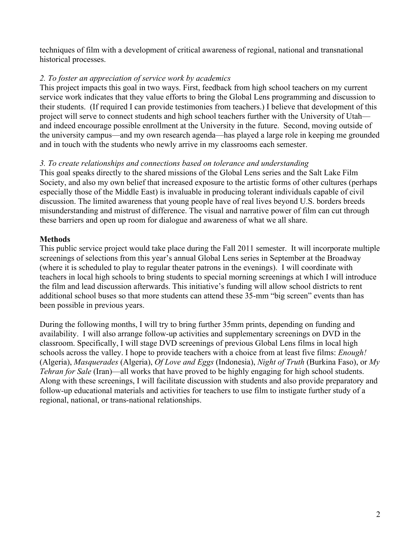techniques of film with a development of critical awareness of regional, national and transnational historical processes.

# *2. To foster an appreciation of service work by academics*

This project impacts this goal in two ways. First, feedback from high school teachers on my current service work indicates that they value efforts to bring the Global Lens programming and discussion to their students. (If required I can provide testimonies from teachers.) I believe that development of this project will serve to connect students and high school teachers further with the University of Utah and indeed encourage possible enrollment at the University in the future. Second, moving outside of the university campus—and my own research agenda—has played a large role in keeping me grounded and in touch with the students who newly arrive in my classrooms each semester.

## *3. To create relationships and connections based on tolerance and understanding*

This goal speaks directly to the shared missions of the Global Lens series and the Salt Lake Film Society, and also my own belief that increased exposure to the artistic forms of other cultures (perhaps especially those of the Middle East) is invaluable in producing tolerant individuals capable of civil discussion. The limited awareness that young people have of real lives beyond U.S. borders breeds misunderstanding and mistrust of difference. The visual and narrative power of film can cut through these barriers and open up room for dialogue and awareness of what we all share.

## **Methods**

This public service project would take place during the Fall 2011 semester. It will incorporate multiple screenings of selections from this year's annual Global Lens series in September at the Broadway (where it is scheduled to play to regular theater patrons in the evenings). I will coordinate with teachers in local high schools to bring students to special morning screenings at which I will introduce the film and lead discussion afterwards. This initiative's funding will allow school districts to rent additional school buses so that more students can attend these 35-mm "big screen" events than has been possible in previous years.

During the following months, I will try to bring further 35mm prints, depending on funding and availability. I will also arrange follow-up activities and supplementary screenings on DVD in the classroom. Specifically, I will stage DVD screenings of previous Global Lens films in local high schools across the valley. I hope to provide teachers with a choice from at least five films: *Enough!* (Algeria), *Masquerades* (Algeria), *Of Love and Eggs* (Indonesia), *Night of Truth* (Burkina Faso), or *My Tehran for Sale* (Iran)—all works that have proved to be highly engaging for high school students. Along with these screenings, I will facilitate discussion with students and also provide preparatory and follow-up educational materials and activities for teachers to use film to instigate further study of a regional, national, or trans-national relationships.